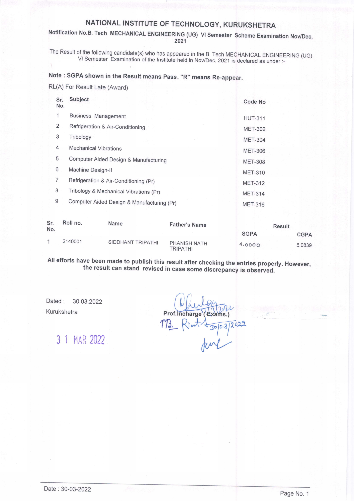## NATIONAL INSTITUTE OF TECHNOLOGY, KURUKSHETRA

#### Notification No.B. Tech MECHANICAL ENGINEERING (UG) VI Semester Scheme Examination Nov/Dec, 2021

The Result of the following candidate(s) who has appeared in the B. Tech MECHANICAL ENGINEERING (UG) VI Semester Examination of the Institute held in Nov/Dec, 2021 is declared as under :-

### Note : SGPA shown in the Result means pass. "R" means Re-appear.

RL(A) For Result Late (Award)

| Sr.<br>No.     | Subject                                    | Code No        |  |
|----------------|--------------------------------------------|----------------|--|
| 1              | <b>Business Management</b>                 | <b>HUT-311</b> |  |
| 2              | Refrigeration & Air-Conditioning           | <b>MET-302</b> |  |
| 3              | Tribology                                  | <b>MET-304</b> |  |
| 4              | <b>Mechanical Vibrations</b>               | <b>MET-306</b> |  |
| 5              | Computer Aided Design & Manufacturing      | <b>MET-308</b> |  |
| 6              | Machine Design-II                          | <b>MET-310</b> |  |
| $\overline{7}$ | Refrigeration & Air-Conditioning (Pr)      | <b>MET-312</b> |  |
| 8              | Tribology & Mechanical Vibrations (Pr)     | <b>MET-314</b> |  |
| 9              | Computer Aided Design & Manufacturing (Pr) | <b>MET-316</b> |  |
|                |                                            |                |  |

| Sr.<br>No. | Roll no. | Name              | <b>Father's Name</b>     | <b>Result</b> |             |
|------------|----------|-------------------|--------------------------|---------------|-------------|
|            |          |                   |                          | <b>SGPA</b>   | <b>CGPA</b> |
|            | 2140001  | SIDDHANT TRIPATHI | PHANISH NATH<br>TRIPATHI | 4.0000        | 5.0839      |

All efforts have been made to publish this result after checking the entries properly. However,<br>the result can stand revised in case some discrepancy is observed.

Dated: 30.03.2022 Kurukshetra

Prof. Incharge (Brams.)<br> $173.$  Rout  $\frac{1}{30}$   $80^{3/2022}$ 

3 1 MAR 2022